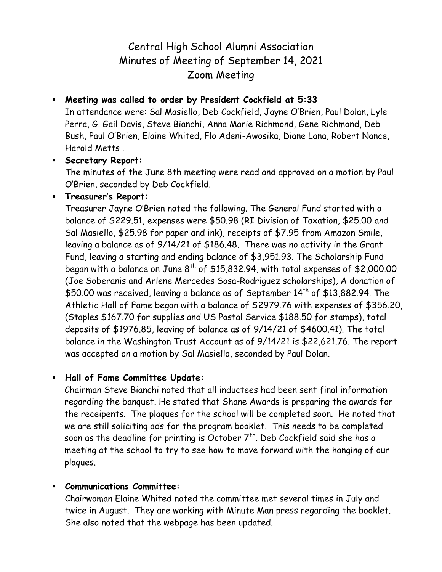# Central High School Alumni Association Minutes of Meeting of September 14, 2021 Zoom Meeting

### **Meeting was called to order by President Cockfield at 5:33**

In attendance were: Sal Masiello, Deb Cockfield, Jayne O'Brien, Paul Dolan, Lyle Perra, G. Gail Davis, Steve Bianchi, Anna Marie Richmond, Gene Richmond, Deb Bush, Paul O'Brien, Elaine Whited, Flo Adeni-Awosika, Diane Lana, Robert Nance, Harold Metts .

#### **Secretary Report:**

The minutes of the June 8th meeting were read and approved on a motion by Paul O'Brien, seconded by Deb Cockfield.

**Treasurer's Report:**

Treasurer Jayne O'Brien noted the following. The General Fund started with a balance of \$229.51, expenses were \$50.98 (RI Division of Taxation, \$25.00 and Sal Masiello, \$25.98 for paper and ink), receipts of \$7.95 from Amazon Smile, leaving a balance as of 9/14/21 of \$186.48. There was no activity in the Grant Fund, leaving a starting and ending balance of \$3,951.93. The Scholarship Fund began with a balance on June  $8^{th}$  of \$15,832.94, with total expenses of \$2,000.00 (Joe Soberanis and Arlene Mercedes Sosa-Rodriguez scholarships), A donation of \$50.00 was received, leaving a balance as of September 14<sup>th</sup> of \$13,882.94. The Athletic Hall of Fame began with a balance of \$2979.76 with expenses of \$356.20, (Staples \$167.70 for supplies and US Postal Service \$188.50 for stamps), total deposits of \$1976.85, leaving of balance as of 9/14/21 of \$4600.41). The total balance in the Washington Trust Account as of 9/14/21 is \$22,621.76. The report was accepted on a motion by Sal Masiello, seconded by Paul Dolan.

## **Hall of Fame Committee Update:**

Chairman Steve Bianchi noted that all inductees had been sent final information regarding the banquet. He stated that Shane Awards is preparing the awards for the receipents. The plaques for the school will be completed soon. He noted that we are still soliciting ads for the program booklet. This needs to be completed soon as the deadline for printing is October  $7^{\text{th}}$ . Deb Cockfield said she has a meeting at the school to try to see how to move forward with the hanging of our plaques.

#### **Communications Committee:**

Chairwoman Elaine Whited noted the committee met several times in July and twice in August. They are working with Minute Man press regarding the booklet. She also noted that the webpage has been updated.